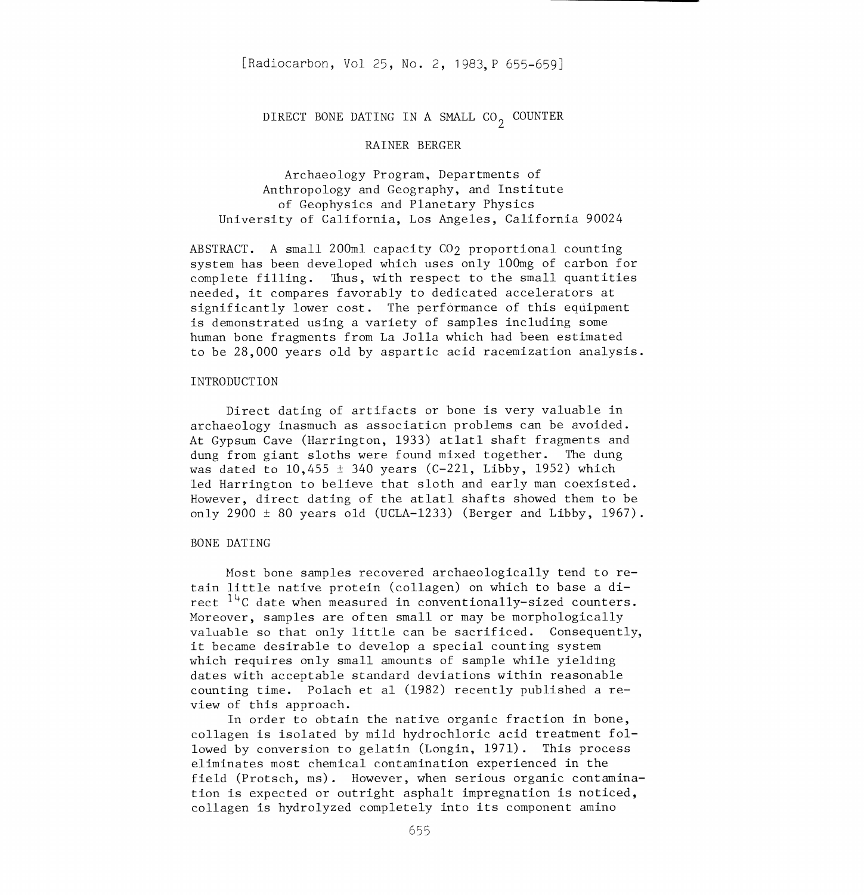# DIRECT BONE DATING IN A SMALL  $CO<sub>2</sub>$  COUNTER

## RAINER BERGER

Archaeology Program, Departments of Anthropology and Geography, and Institute of Geophysics and Planetary Physics University of California, Los Angeles, California 90024

ABSTRACT. A small 200m1 capacity C02 proportional counting system has been developed which uses only 100mg of carbon for complete filling. Thus, with respect to the small quantities needed, it compares favorably to dedicated accelerators at significantly lower cost. The performance of this equipment is demonstrated using a variety of samples including some human bone fragments from La Jolla which had been estimated to be 28,000 years old by aspartic acid racemization analysis.

#### INTRODUCTION

Direct dating of artifacts or bone is very valuable in archaeology inasmuch as association problems can be avoided. At Gypsum Cave (Harrington, 1933) atlatl shaft fragments and dung from giant sloths were found mixed together. The dung was dated to  $10,455 \pm 340$  years (C-221, Libby, 1952) which led Harrington to believe that sloth and early man coexisted. However, direct dating of the atlatl shafts showed them to be only 2900  $\pm$  80 years old (UCLA-1233) (Berger and Libby, 1967).

### BONE DATING

Most bone samples recovered archaeologically tend to retain little native protein (collagen) on which to base a direct  $14C$  date when measured in conventionally-sized counters. Moreover, samples are often small or may be morphologically valuable so that only little can be sacrificed. Consequently, it became desirable to develop a special counting system which requires only small amounts of sample while yielding dates with acceptable standard deviations within reasonable counting time. Polach et al (1982) recently published a re view of this approach.

In order to obtain the native organic fraction in bone, collagen is isolated by mild hydrochloric acid treatment fol lowed by conversion to gelatin (Longin, 1971). This process eliminates most chemical contamination experienced in the field (Protsch, ms). However, when serious organic contamination is expected or outright asphalt impregnation is noticed, collagen is hydrolyzed completely into its component amino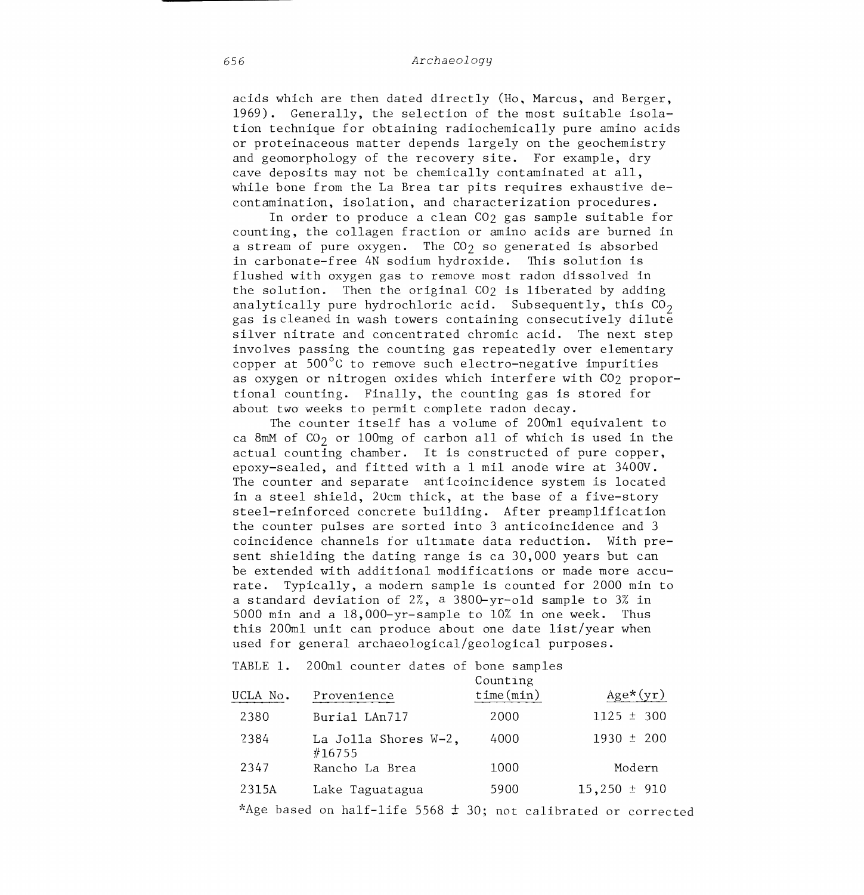acids which are then dated directly (Ho. Marcus, and Berger, 1969). Generally, the selection of the most suitable isolation technique for obtaining radiochemically pure amino acids or proteinaceous matter depends largely on the geochemistry and geomorphology of the recovery site. For example, dry cave deposits may not be chemically contaminated at all, while bone from the La Brea tar pits requires exhaustive decontamination, isolation, and characterization procedures.

In order to produce a clean CO<sub>2</sub> gas sample suitable for counting, the collagen fraction or amino acids are burned in a stream of pure oxygen. The  $CO<sub>2</sub>$  so generated is absorbed in carbonate-free 4N sodium hydroxide. This solution is flushed with oxygen gas to remove most radon dissolved in the solution. Then the original C02 is liberated by adding analytically pure hydrochloric acid. Subsequently, this  $CO<sub>2</sub>$ gas is cleaned in wash towers containing consecutively dilute silver nitrate and concentrated chromic acid. The next step involves passing the counting gas repeatedly over elementary copper at 500°C to remove such electro-negative impurities as oxygen or nitrogen oxides which interfere with CO<sub>2</sub> proportional counting. Finally, the counting gas is stored for about two weeks to permit complete radon decay.

The counter itself has a volume of 200ml equivalent to ca 8mM of  $CO_2$  or 100mg of carbon all of which is used in the actual counting chamber. It is constructed of pure copper, epoxy-sealed, and fitted with a 1 mil anode wire at 3400V. The counter and separate anticoincidence system is located in a steel shield, 20cm thick, at the base of a five-story steel-reinforced concrete building. After preamplification the counter pulses are sorted into 3 anticoincidence and 3 coincidence channels for ultimate data reduction. With present shielding the dating range is ca 30,000 years but can be extended with additional modifications or made more accurate. Typically, a modern sample is counted for 2000 min to a standard deviation of 2%, a 3800-yr-old sample to 3% in 5000 min and a 18,000-yr-sample to 10% in one week. Thus this 200ml unit can produce about one date list/year when used for general archaeological/geological purposes.

## TABLE 1. 200ml counter dates of bone samples

| UCLA No. | Provenience                    | Counting<br>time(min) | $Age*(yr)$       |  |
|----------|--------------------------------|-----------------------|------------------|--|
| 2380     | Burial LAn717                  | 2000                  | $1125 \pm 300$   |  |
| 2384     | La Jolla Shores W-2,<br>#16755 | 4000                  | $1930 \pm 200$   |  |
| 2347     | Rancho La Brea                 | 1000                  | Modern           |  |
| 2315A    | Lake Taguatagua                | 5900                  | $15,250 \pm 910$ |  |

\*Age based on half-life 5568  $\pm$  30; not calibrated or corrected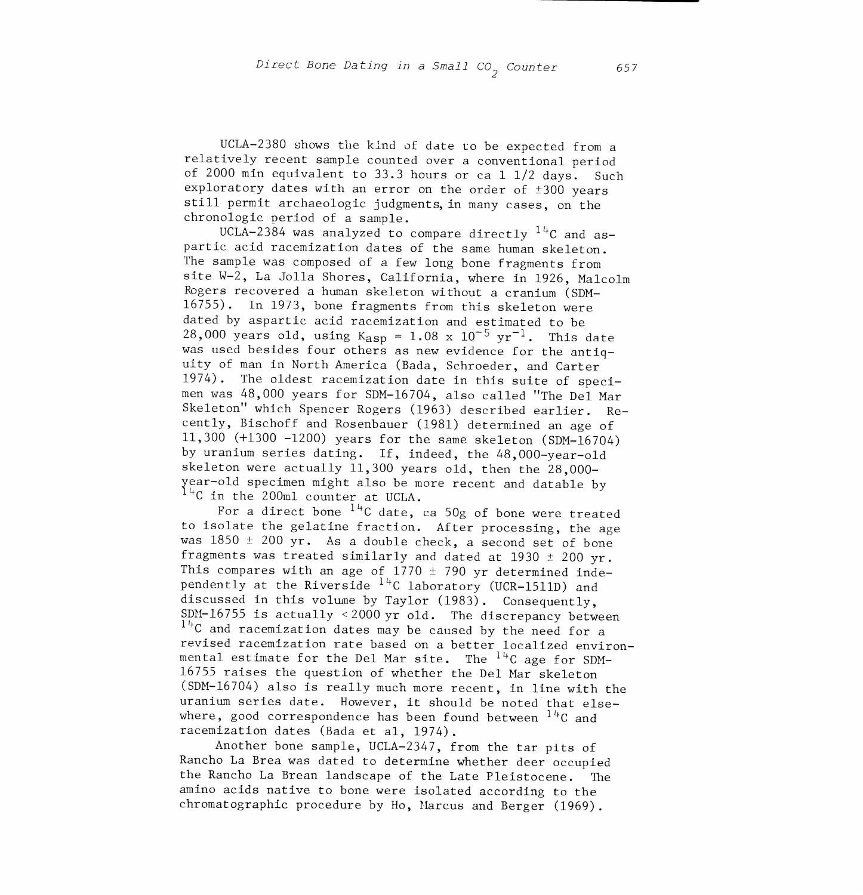UCLA-2380 shows the kind of date to be expected from a relatively recent sample counted over a conventional period of 2000 min equivalent to 33.3 hours or ca 1 1/2 days. Such exploratory dates with an error on the order of ±300 years still permit archaeologic judgments, in many cases, on the chronologic period of a sample.

UCLA-2384 was analyzed to compare directly  $14C$  and aspartic acid racemization dates of the same human skeleton. The sample was composed of a few long bone fragments from site W-2, La Jolla Shores, California, where in 1926, Malcolm Rogers recovered a human skeleton without a cranium (SDM-16755). In 1973, bone fragments from this skeleton were dated by aspartic acid racemization and estimated to be 28,000 years old, using  $K_{\text{asp}} = 1.08 \times 10^{-5} \text{ yr}^{-1}$ . This date was used besides four others as new evidence for the antiquity of man in North America (Bada, Schroeder, and Carter 1974). The oldest racemizat ion date in this suite of specimen was 48,000 years for SDM-16704, also called "The Del Mar Skeleton" which Spencer Rogers (1963) described earlier. Recently, Bischoff and Rosenbauer (1981) determined an age of 11,300 (+1300 -1200) years for the same skeleton (SDM-16704) by uranium series dating. If, indeed, the 48,000-year-old skeleton were actually 11,300 years old, then the 28,000 year-old specimen might also be more recent and datable by  $14C$  in the 200ml counter at UCLA.

For a direct bone  $14C$  date, ca 50g of bone were treated to isolate the gelatine fraction. After processing, the age was  $1850 \pm 200$  yr. As a double check, a second set of bone fragments was treated similarly and dated at 1930  $\pm$  200 yr. This compares with an age of  $1770 \pm 790$  yr determined independently at the Riverside  $14C$  laboratory (UCR-1511D) and discussed in this volume by Taylor (1983). Consequently, SDN-16755 is actually <2000 yr old. The discrepancy between  $14$ C and racemization dates may be caused by the need for a revised racemization rate based on a better localized environmental estimate for the Del Mar site. The  $14C$  age for SDM-16755 raises the question of whether the Del Mar skeleton (SDM-16704) also is really much more recent, in line with the uranium series date. However, it should be noted that elsewhere, good correspondence has been found between  $14C$  and racemization dates (Bada et al, 1974).

Another bone sample, UCLA-2347, from the tar pits of Rancho La Brea was dated to determine whether deer occupied the Rancho La Brean landscape of the Late Pleistocene. The amino acids native to bone were isolated according to the chromatographic procedure by Ho, Marcus and Berger (1969).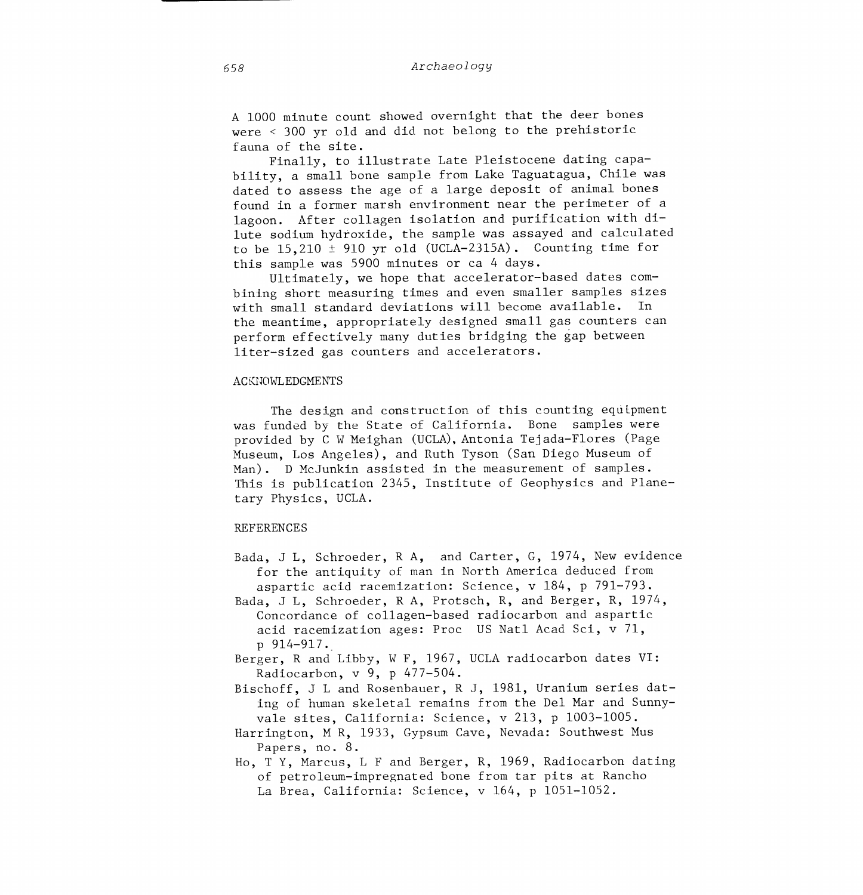A 1000 minute count showed overnight that the deer bones were < 300 yr old and did not belong to the prehistoric fauna of the site.

Finally, to illustrate Late Pleistocene dating capability, a small bone sample from Lake Taguatagua, Chile was dated to assess the age of a large deposit of animal bones found in a former marsh environment near the perimeter of a lagoon. After collagen isolation and purification with dilute sodium hydroxide, the sample was assayed and calculated to be  $15,210 \pm 910$  yr old (UCLA-2315A). Counting time for this sample was 5900 minutes or ca 4 days.

Ultimately, we hope that accelerator-based dates com bining short measuring times and even smaller samples sizes with small standard deviations will become available. In the meantime, appropriately designed small gas counters can perform effectively many duties bridging the gap between liter-sized gas counters and accelerators.

#### ACKNOWLEDGMENTS

The design and construction of this counting equipment was funded by the State of California. Bone samples were provided by C W Meighan (UCLA), Antonia Tejada-Flores (Page Museum, Los Angeles), and Ruth Tyson (San Diego Museum of Man). D McJunkin assisted in the measurement of samples. This is publication 2345, Institute of Geophysics and Planetary Physics, UCLA.

#### REFERENCES

- Bada, J L, Schroeder, R A, and Carter, G, 1974, New evidence for the antiquity of man in North America deduced from aspartic acid racemization: Science, v 184, p 791-793.
- Bada, J L, Schroeder, R A, Protsch, R, and Berger, R, 1974, Concordance of collagen-based radiocarbon and aspartic acid racemization ages: Proc US Natl Acad Sci, v 71, p 914-917.
- Berger, R and Libby, W F, 1967, UCLA radiocarbon dates VI: Radiocarbon, v 9, p 477-504.
- Bischoff, J L and Rosenbauer, R J, 1981, Uranium series dating of human skeletal remains from the Del Mar and Sunnyvale sites, California: Science, v 213, p 1003-1005.
- Harrington, M R, 1933, Gypsum Cave, Nevada: Southwest Mus Papers, no. 8.
- Ho, T Y, Marcus, L F and Berger, R, 1969, Radiocarbon dating of petroleum-impregnated bone from tar pits at Rancho La Brea, California: Science, v 164, p 1051-1052.